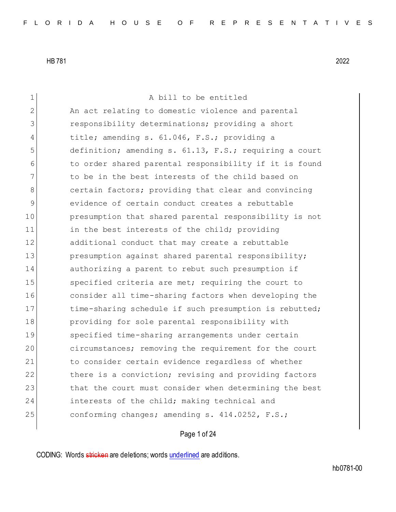1 A bill to be entitled 2 An act relating to domestic violence and parental 3 **1** responsibility determinations; providing a short 4 title; amending s. 61.046, F.S.; providing a 5 definition; amending s. 61.13, F.S.; requiring a court 6 to order shared parental responsibility if it is found 7 The to be in the best interests of the child based on 8 **b** certain factors; providing that clear and convincing 9 evidence of certain conduct creates a rebuttable 10 presumption that shared parental responsibility is not 11 in the best interests of the child; providing 12 additional conduct that may create a rebuttable 13 presumption against shared parental responsibility; 14 authorizing a parent to rebut such presumption if 15 Specified criteria are met; requiring the court to 16 consider all time-sharing factors when developing the 17 17 time-sharing schedule if such presumption is rebutted; 18 providing for sole parental responsibility with 19 specified time-sharing arrangements under certain 20 circumstances; removing the requirement for the court 21 to consider certain evidence regardless of whether 22 there is a conviction; revising and providing factors 23 that the court must consider when determining the best 24 interests of the child; making technical and 25 conforming changes; amending s. 414.0252, F.S.;

## Page 1 of 24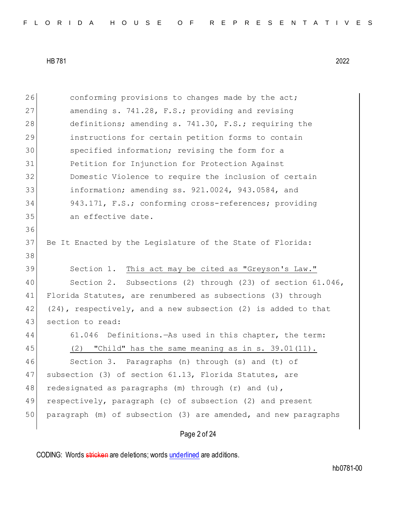26 conforming provisions to changes made by the act; 27 amending s. 741.28, F.S.; providing and revising 28 definitions; amending s. 741.30, F.S.; requiring the 29 instructions for certain petition forms to contain 30 specified information; revising the form for a 31 Petition for Injunction for Protection Against 32 Domestic Violence to require the inclusion of certain 33 information; amending ss. 921.0024, 943.0584, and 34 943.171, F.S.; conforming cross-references; providing 35 an effective date. 36 37 Be It Enacted by the Legislature of the State of Florida: 38 39 Section 1. This act may be cited as "Greyson's Law." 40 Section 2. Subsections (2) through (23) of section 61.046, 41 Florida Statutes, are renumbered as subsections (3) through 42 (24), respectively, and a new subsection (2) is added to that 43 section to read: 44 61.046 Definitions.—As used in this chapter, the term: 45 (2) "Child" has the same meaning as in s. 39.01(11). 46 Section 3. Paragraphs (n) through (s) and (t) of 47 | subsection (3) of section 61.13, Florida Statutes, are 48 redesignated as paragraphs  $(m)$  through  $(r)$  and  $(u)$ , 49 respectively, paragraph (c) of subsection (2) and present 50 paragraph (m) of subsection (3) are amended, and new paragraphs

Page 2 of 24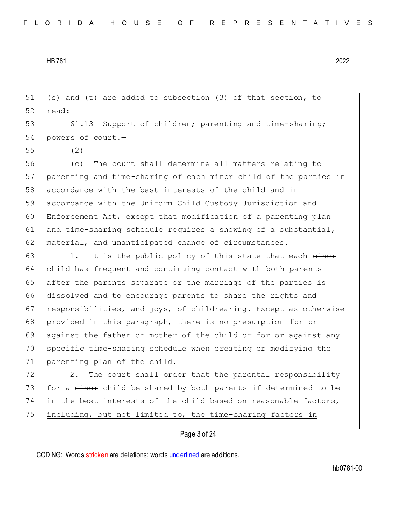51 (s) and (t) are added to subsection (3) of that section, to 52 read:

53 61.13 Support of children; parenting and time-sharing; 54 powers of court.—

55 (2)

56 (c) The court shall determine all matters relating to 57 parenting and time-sharing of each minor child of the parties in 58 accordance with the best interests of the child and in 59 accordance with the Uniform Child Custody Jurisdiction and 60 Enforcement Act, except that modification of a parenting plan 61 and time-sharing schedule requires a showing of a substantial, 62 material, and unanticipated change of circumstances.

 $63$  1. It is the public policy of this state that each  $\frac{m}{n}$ 64 child has frequent and continuing contact with both parents 65 after the parents separate or the marriage of the parties is 66 dissolved and to encourage parents to share the rights and 67 responsibilities, and joys, of childrearing. Except as otherwise 68 provided in this paragraph, there is no presumption for or 69 against the father or mother of the child or for or against any 70 specific time-sharing schedule when creating or modifying the 71 parenting plan of the child.

72 2. The court shall order that the parental responsibility 73 for a minor child be shared by both parents if determined to be 74 in the best interests of the child based on reasonable factors, 75 including, but not limited to, the time-sharing factors in

## Page 3 of 24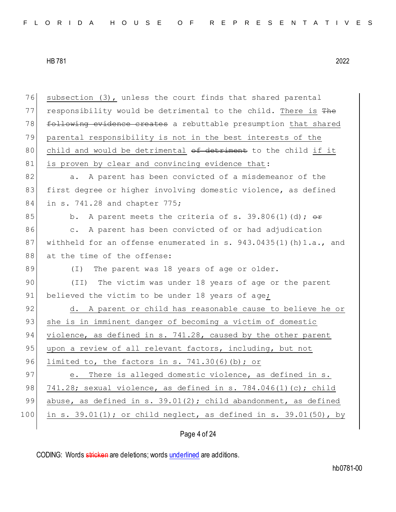| 76  | subsection (3), unless the court finds that shared parental       |
|-----|-------------------------------------------------------------------|
| 77  | responsibility would be detrimental to the child. There is The    |
| 78  | following evidence creates a rebuttable presumption that shared   |
| 79  | parental responsibility is not in the best interests of the       |
| 80  | child and would be detrimental of detriment to the child if it    |
| 81  | is proven by clear and convincing evidence that:                  |
| 82  | A parent has been convicted of a misdemeanor of the<br>a.         |
| 83  | first degree or higher involving domestic violence, as defined    |
| 84  | in s. 741.28 and chapter 775;                                     |
| 85  | A parent meets the criteria of s. 39.806(1)(d); $\theta$<br>b.    |
| 86  | A parent has been convicted of or had adjudication<br>$\circ$ .   |
| 87  | withheld for an offense enumerated in s. 943.0435(1)(h) 1.a., and |
| 88  | at the time of the offense:                                       |
| 89  | The parent was 18 years of age or older.<br>$(\top)$              |
| 90  | The victim was under 18 years of age or the parent<br>(TI)        |
| 91  | believed the victim to be under 18 years of age;                  |
| 92  | d. A parent or child has reasonable cause to believe he or        |
| 93  | she is in imminent danger of becoming a victim of domestic        |
| 94  | violence, as defined in s. 741.28, caused by the other parent     |
| 95  | upon a review of all relevant factors, including, but not         |
| 96  | limited to, the factors in s. $741.30(6)(b)$ ; or                 |
| 97  | There is alleged domestic violence, as defined in s.<br>е.        |
| 98  | 741.28; sexual violence, as defined in s. 784.046(1)(c); child    |
| 99  | abuse, as defined in s. 39.01(2); child abandonment, as defined   |
| 100 | in s. 39.01(1); or child neglect, as defined in s. 39.01(50), by  |
|     |                                                                   |

Page 4 of 24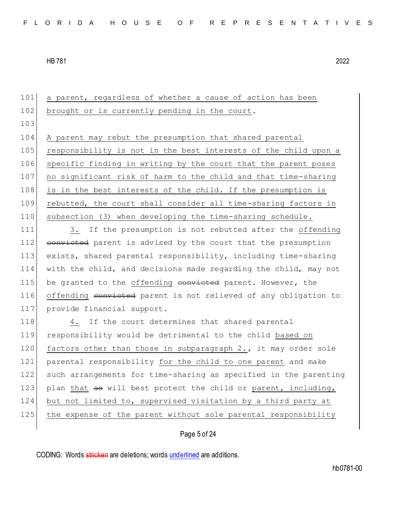101 a parent, regardless of whether a cause of action has been 102 brought or is currently pending in the court. 103 104 A parent may rebut the presumption that shared parental 105 responsibility is not in the best interests of the child upon a 106 specific finding in writing by the court that the parent poses 107 no significant risk of harm to the child and that time-sharing 108 is in the best interests of the child. If the presumption is 109 rebutted, the court shall consider all time-sharing factors in 110 subsection (3) when developing the time-sharing schedule. 111 3. If the presumption is not rebutted after the offending 112 convicted parent is advised by the court that the presumption 113 exists, shared parental responsibility, including time-sharing 114 with the child, and decisions made regarding the child, may not 115 be granted to the offending convicted parent. However, the 116 offending convicted parent is not relieved of any obligation to 117 provide financial support. 118 4. If the court determines that shared parental 119 responsibility would be detrimental to the child based on 120 factors other than those in subparagraph 2., it may order sole 121 parental responsibility for the child to one parent and make 122 such arrangements for time-sharing as specified in the parenting 123 plan that as will best protect the child or parent, including, 124 but not limited to, supervised visitation by a third party at 125 the expense of the parent without sole parental responsibility

## Page 5 of 24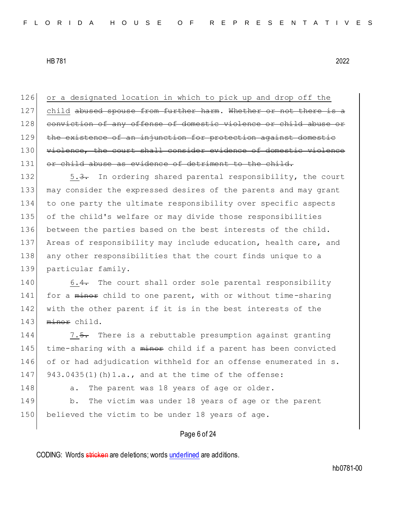126 or a designated location in which to pick up and drop off the 127 child abused spouse from further harm. Whether or not there is a 128 conviction of any offense of domestic violence or child abuse or 129 the existence of an injunction for protection against domestic 130 violence, the court shall consider evidence of domestic violence 131 or child abuse as evidence of detriment to the child.

132 5.3. In ordering shared parental responsibility, the court may consider the expressed desires of the parents and may grant to one party the ultimate responsibility over specific aspects of the child's welfare or may divide those responsibilities between the parties based on the best interests of the child. 137 Areas of responsibility may include education, health care, and any other responsibilities that the court finds unique to a particular family.

140 6.4. The court shall order sole parental responsibility 141 for a minor child to one parent, with or without time-sharing 142 with the other parent if it is in the best interests of the 143 minor child.

144 7.5. There is a rebuttable presumption against granting 145 time-sharing with a minor child if a parent has been convicted 146 of or had adjudication withheld for an offense enumerated in s. 147 943.0435(1)(h)1.a., and at the time of the offense:

148 a. The parent was 18 years of age or older. 149 b. The victim was under 18 years of age or the parent 150 believed the victim to be under 18 years of age.

## Page 6 of 24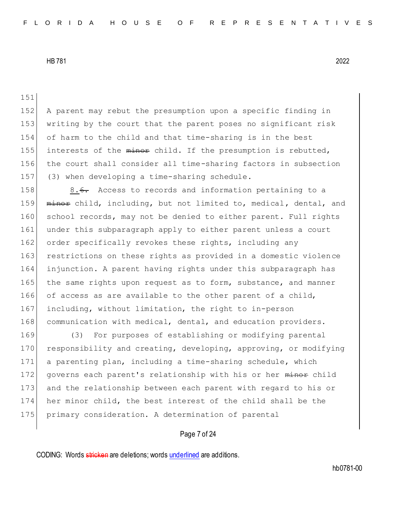151

152 A parent may rebut the presumption upon a specific finding in 153 writing by the court that the parent poses no significant risk 154 of harm to the child and that time-sharing is in the best 155 interests of the minor child. If the presumption is rebutted, 156 the court shall consider all time-sharing factors in subsection 157 (3) when developing a time-sharing schedule.

158 8.6. Access to records and information pertaining to a 159 minor child, including, but not limited to, medical, dental, and 160 school records, may not be denied to either parent. Full rights 161 under this subparagraph apply to either parent unless a court 162 order specifically revokes these rights, including any 163 restrictions on these rights as provided in a domestic violence 164 injunction. A parent having rights under this subparagraph has 165 the same rights upon request as to form, substance, and manner 166 of access as are available to the other parent of a child, 167 including, without limitation, the right to in-person 168 communication with medical, dental, and education providers.

169 (3) For purposes of establishing or modifying parental 170 responsibility and creating, developing, approving, or modifying 171 a parenting plan, including a time-sharing schedule, which 172 governs each parent's relationship with his or her minor child 173 and the relationship between each parent with regard to his or 174 her minor child, the best interest of the child shall be the 175 primary consideration. A determination of parental

## Page 7 of 24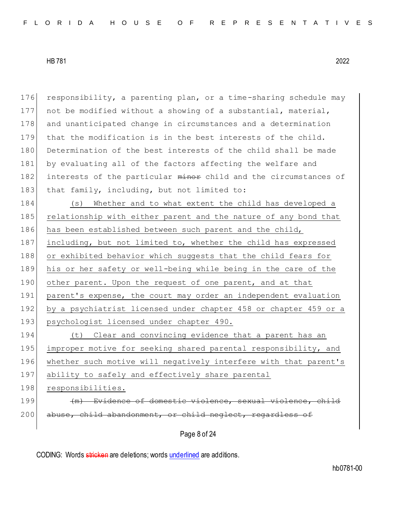176 responsibility, a parenting plan, or a time-sharing schedule may 177 not be modified without a showing of a substantial, material, 178 and unanticipated change in circumstances and a determination 179 that the modification is in the best interests of the child. 180 Determination of the best interests of the child shall be made 181 by evaluating all of the factors affecting the welfare and 182 interests of the particular minor child and the circumstances of 183 that family, including, but not limited to:

184 (s) Whether and to what extent the child has developed a 185 relationship with either parent and the nature of any bond that 186 has been established between such parent and the child, 187 including, but not limited to, whether the child has expressed 188 or exhibited behavior which suggests that the child fears for 189 his or her safety or well-being while being in the care of the 190 other parent. Upon the request of one parent, and at that 191 parent's expense, the court may order an independent evaluation 192 by a psychiatrist licensed under chapter 458 or chapter 459 or a 193 psychologist licensed under chapter 490.

194 (t) Clear and convincing evidence that a parent has an 195 improper motive for seeking shared parental responsibility, and 196 whether such motive will negatively interfere with that parent's 197 ability to safely and effectively share parental 198 responsibilities.

199 (m) Evidence of domestic violence, sexual violence, child 200 abuse, child abandonment, or child neglect, regardless of

Page 8 of 24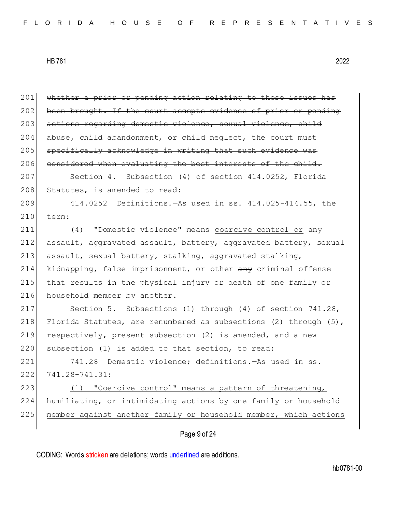Page 9 of 24 201 whether a prior or pending action relating to those issues has 202 been brought. If the court accepts evidence of prior or pending 203 actions regarding domestic violence, sexual violence, child  $204$  abuse, child abandonment, or child neglect, the court must 205 specifically acknowledge in writing that such evidence was 206 considered when evaluating the best interests of the child. 207 Section 4. Subsection (4) of section 414.0252, Florida 208 Statutes, is amended to read: 209 414.0252 Definitions.—As used in ss. 414.025-414.55, the 210 term: 211 (4) "Domestic violence" means coercive control or any 212 assault, aggravated assault, battery, aggravated battery, sexual 213 assault, sexual battery, stalking, aggravated stalking, 214 kidnapping, false imprisonment, or other any criminal offense 215 that results in the physical injury or death of one family or 216 household member by another. 217 Section 5. Subsections (1) through (4) of section 741.28, 218 Florida Statutes, are renumbered as subsections (2) through (5), 219 respectively, present subsection (2) is amended, and a new 220 subsection (1) is added to that section, to read: 221 741.28 Domestic violence; definitions.—As used in ss. 222 741.28-741.31: 223 (1) "Coercive control" means a pattern of threatening, 224 humiliating, or intimidating actions by one family or household 225 | member against another family or household member, which actions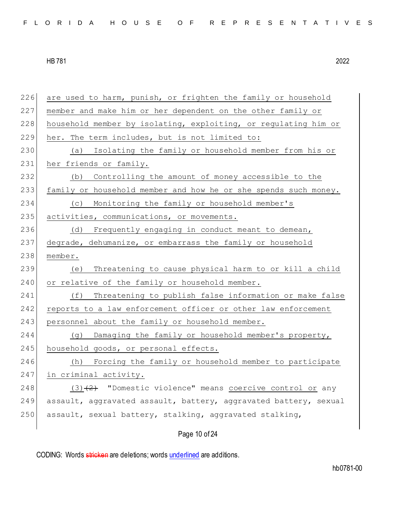|  |  |  | FLORIDA HOUSE OF REPRESENTATIVES |  |  |  |  |  |  |  |  |  |  |  |  |  |  |  |  |  |  |  |  |  |
|--|--|--|----------------------------------|--|--|--|--|--|--|--|--|--|--|--|--|--|--|--|--|--|--|--|--|--|
|--|--|--|----------------------------------|--|--|--|--|--|--|--|--|--|--|--|--|--|--|--|--|--|--|--|--|--|

226 are used to harm, punish, or frighten the family or household 227 member and make him or her dependent on the other family or 228 household member by isolating, exploiting, or regulating him or 229 her. The term includes, but is not limited to: 230 (a) Isolating the family or household member from his or 231 her friends or family. 232 (b) Controlling the amount of money accessible to the 233 family or household member and how he or she spends such money. 234 (c) Monitoring the family or household member's 235 activities, communications, or movements. 236 (d) Frequently engaging in conduct meant to demean, 237 degrade, dehumanize, or embarrass the family or household 238 member. 239 (e) Threatening to cause physical harm to or kill a child 240 or relative of the family or household member. 241 (f) Threatening to publish false information or make false 242 reports to a law enforcement officer or other law enforcement 243 personnel about the family or household member. 244 (g) Damaging the family or household member's property, 245 household goods, or personal effects. 246 (h) Forcing the family or household member to participate 247 in criminal activity. 248  $(3)$   $(2)$  "Domestic violence" means coercive control or any 249 assault, aggravated assault, battery, aggravated battery, sexual 250 assault, sexual battery, stalking, aggravated stalking,

# Page 10 of 24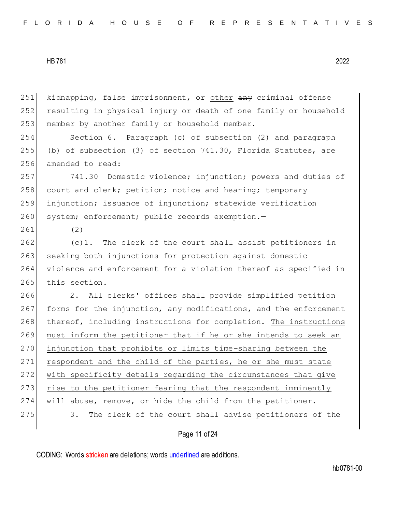251 kidnapping, false imprisonment, or other any criminal offense 252 resulting in physical injury or death of one family or household 253 | member by another family or household member.

254 Section 6. Paragraph (c) of subsection (2) and paragraph 255 (b) of subsection (3) of section 741.30, Florida Statutes, are 256 amended to read:

257 741.30 Domestic violence; injunction; powers and duties of 258 court and clerk; petition; notice and hearing; temporary 259 injunction; issuance of injunction; statewide verification 260 system; enforcement; public records exemption.-

261 (2)

 $262$  (c)1. The clerk of the court shall assist petitioners in 263 seeking both injunctions for protection against domestic 264 violence and enforcement for a violation thereof as specified in 265 this section.

266 2. All clerks' offices shall provide simplified petition 267 forms for the injunction, any modifications, and the enforcement 268 thereof, including instructions for completion. The instructions 269 must inform the petitioner that if he or she intends to seek an 270 injunction that prohibits or limits time-sharing between the 271 respondent and the child of the parties, he or she must state 272 with specificity details regarding the circumstances that give 273 rise to the petitioner fearing that the respondent imminently 274 will abuse, remove, or hide the child from the petitioner. 275 3. The clerk of the court shall advise petitioners of the

Page 11 of 24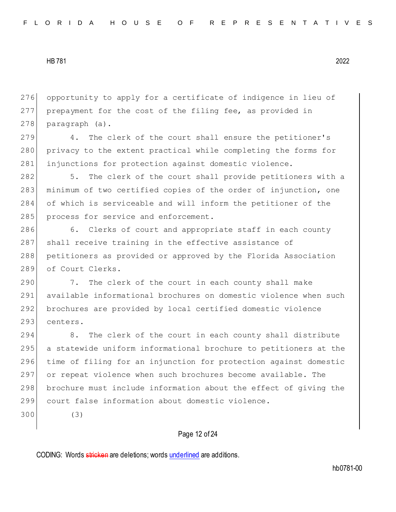276 opportunity to apply for a certificate of indigence in lieu of 277 prepayment for the cost of the filing fee, as provided in 278 paragraph (a).

279 4. The clerk of the court shall ensure the petitioner's 280 privacy to the extent practical while completing the forms for 281 injunctions for protection against domestic violence.

282 5. The clerk of the court shall provide petitioners with a 283 minimum of two certified copies of the order of injunction, one 284 of which is serviceable and will inform the petitioner of the 285 process for service and enforcement.

286 6. Clerks of court and appropriate staff in each county 287 shall receive training in the effective assistance of 288 petitioners as provided or approved by the Florida Association 289 of Court Clerks.

290 7. The clerk of the court in each county shall make 291 available informational brochures on domestic violence when such 292 brochures are provided by local certified domestic violence 293 centers.

294 8. The clerk of the court in each county shall distribute 295 a statewide uniform informational brochure to petitioners at the time of filing for an injunction for protection against domestic or repeat violence when such brochures become available. The brochure must include information about the effect of giving the court false information about domestic violence.

300 (3)

## Page 12 of 24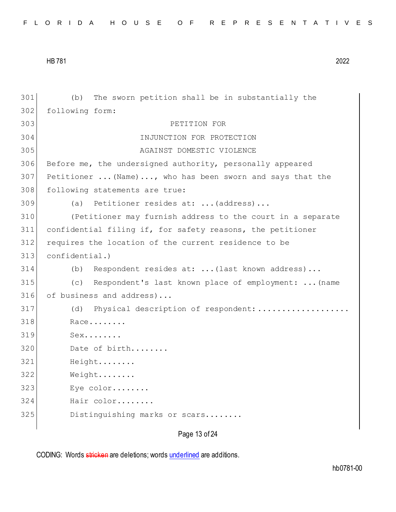| FLORIDA HOUSE OF REPRESENTATIVES |  |  |  |  |  |  |  |  |  |  |  |  |  |  |  |  |  |  |  |  |  |  |  |  |  |  |
|----------------------------------|--|--|--|--|--|--|--|--|--|--|--|--|--|--|--|--|--|--|--|--|--|--|--|--|--|--|
|----------------------------------|--|--|--|--|--|--|--|--|--|--|--|--|--|--|--|--|--|--|--|--|--|--|--|--|--|--|

| 301 | The sworn petition shall be in substantially the<br>(b)    |
|-----|------------------------------------------------------------|
| 302 | following form:                                            |
| 303 | PETITION FOR                                               |
| 304 | INJUNCTION FOR PROTECTION                                  |
| 305 | AGAINST DOMESTIC VIOLENCE                                  |
| 306 | Before me, the undersigned authority, personally appeared  |
| 307 | Petitioner  (Name) , who has been sworn and says that the  |
| 308 | following statements are true:                             |
| 309 | Petitioner resides at:  (address)<br>(a)                   |
| 310 | (Petitioner may furnish address to the court in a separate |
| 311 | confidential filing if, for safety reasons, the petitioner |
| 312 | requires the location of the current residence to be       |
| 313 | confidential.)                                             |
| 314 | Respondent resides at:  (last known address)<br>(b)        |
| 315 | (C)<br>Respondent's last known place of employment:  (name |
| 316 | of business and address)                                   |
| 317 | Physical description of respondent:<br>(d)                 |
| 318 | Race                                                       |
| 319 | $Sex.$                                                     |
| 320 | Date of birth                                              |
| 321 | Height                                                     |
| 322 | Weight                                                     |
| 323 | Eye color                                                  |
| 324 | Hair color                                                 |
| 325 | Distinguishing marks or scars                              |
|     |                                                            |

Page 13 of 24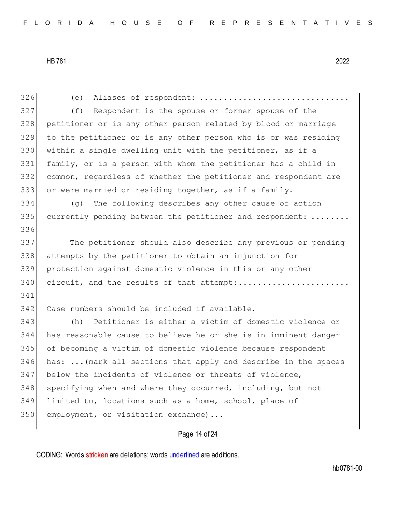| 326 | Aliases of respondent:<br>(e)                                   |
|-----|-----------------------------------------------------------------|
| 327 | Respondent is the spouse or former spouse of the<br>(f)         |
| 328 | petitioner or is any other person related by blood or marriage  |
| 329 | to the petitioner or is any other person who is or was residing |
| 330 | within a single dwelling unit with the petitioner, as if a      |
| 331 | family, or is a person with whom the petitioner has a child in  |
| 332 | common, regardless of whether the petitioner and respondent are |
| 333 | or were married or residing together, as if a family.           |
| 334 | The following describes any other cause of action<br>(q)        |
| 335 | currently pending between the petitioner and respondent:        |
| 336 |                                                                 |
| 337 | The petitioner should also describe any previous or pending     |
| 338 | attempts by the petitioner to obtain an injunction for          |
| 339 | protection against domestic violence in this or any other       |
| 340 | circuit, and the results of that attempt:                       |
| 341 |                                                                 |
| 342 | Case numbers should be included if available.                   |
| 343 | Petitioner is either a victim of domestic violence or<br>(h)    |
| 344 | has reasonable cause to believe he or she is in imminent danger |
| 345 | of becoming a victim of domestic violence because respondent    |
| 346 | has:  (mark all sections that apply and describe in the spaces  |
| 347 | below the incidents of violence or threats of violence,         |
| 348 | specifying when and where they occurred, including, but not     |
| 349 | limited to, locations such as a home, school, place of          |
| 350 | employment, or visitation exchange)                             |
|     |                                                                 |
|     | Page 14 of 24                                                   |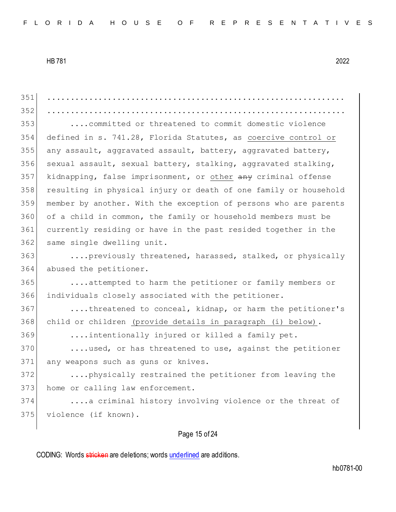Page 15 of 24 ................................................................ ................................................................ ....committed or threatened to commit domestic violence defined in s. 741.28, Florida Statutes, as coercive control or any assault, aggravated assault, battery, aggravated battery, 356 sexual assault, sexual battery, stalking, aggravated stalking, 357 kidnapping, false imprisonment, or other any criminal offense resulting in physical injury or death of one family or household member by another. With the exception of persons who are parents of a child in common, the family or household members must be currently residing or have in the past resided together in the 362 same single dwelling unit. 363 ....previously threatened, harassed, stalked, or physically abused the petitioner. ....attempted to harm the petitioner or family members or individuals closely associated with the petitioner. 367 ....threatened to conceal, kidnap, or harm the petitioner's 368 child or children (provide details in paragraph (i) below). ....intentionally injured or killed a family pet. 370 ....used, or has threatened to use, against the petitioner 371 any weapons such as guns or knives. ....physically restrained the petitioner from leaving the 373 home or calling law enforcement. ....a criminal history involving violence or the threat of violence (if known).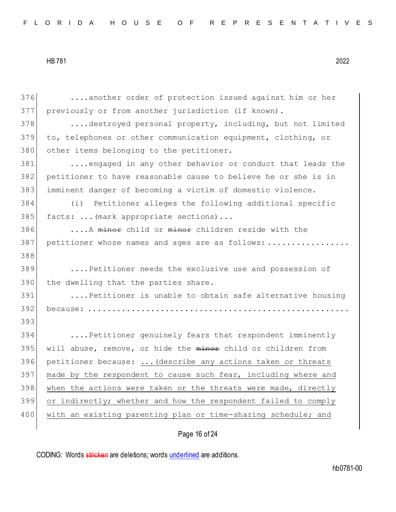376 ....another order of protection issued against him or her 377 previously or from another jurisdiction (if known). 378 ....destroyed personal property, including, but not limited 379 to, telephones or other communication equipment, clothing, or 380 other items belonging to the petitioner. 381 ....engaged in any other behavior or conduct that leads the 382 petitioner to have reasonable cause to believe he or she is in 383 imminent danger of becoming a victim of domestic violence. 384 (i) Petitioner alleges the following additional specific 385 facts: ... (mark appropriate sections)... 386 ....A minor child or minor children reside with the 387 petitioner whose names and ages are as follows: ................. 388 389 ....Petitioner needs the exclusive use and possession of 390 | the dwelling that the parties share. 391 ....Petitioner is unable to obtain safe alternative housing 392 because: ...................................................... 393 394 ....Petitioner genuinely fears that respondent imminently 395 will abuse, remove, or hide the minor child or children from 396 petitioner because: ... (describe any actions taken or threats 397 made by the respondent to cause such fear, including where and 398 when the actions were taken or the threats were made, directly 399 or indirectly; whether and how the respondent failed to comply 400 | with an existing parenting plan or time-sharing schedule; and

## Page 16 of 24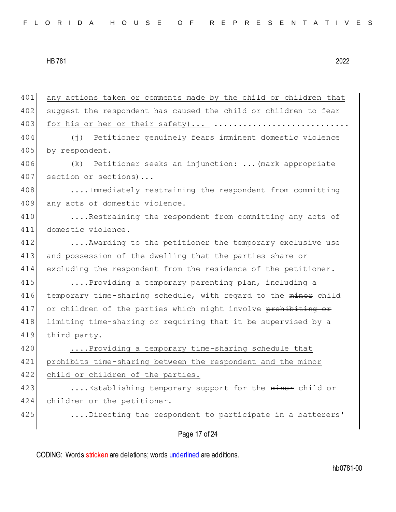| 401 | any actions taken or comments made by the child or children that |
|-----|------------------------------------------------------------------|
| 402 | suggest the respondent has caused the child or children to fear  |
| 403 | for his or her or their safety)                                  |
| 404 | (j) Petitioner genuinely fears imminent domestic violence        |
| 405 | by respondent.                                                   |
| 406 | Petitioner seeks an injunction:  (mark appropriate<br>(k)        |
| 407 | section or sections)                                             |
| 408 | Immediately restraining the respondent from committing           |
| 409 | any acts of domestic violence.                                   |
| 410 | Restraining the respondent from committing any acts of           |
| 411 | domestic violence.                                               |
| 412 | Awarding to the petitioner the temporary exclusive use           |
| 413 | and possession of the dwelling that the parties share or         |
| 414 | excluding the respondent from the residence of the petitioner.   |
| 415 | Providing a temporary parenting plan, including a                |
| 416 | temporary time-sharing schedule, with regard to the minor child  |
| 417 | or children of the parties which might involve prohibiting or    |
| 418 | limiting time-sharing or requiring that it be supervised by a    |
| 419 | third party.                                                     |
| 420 | Providing a temporary time-sharing schedule that                 |
| 421 | prohibits time-sharing between the respondent and the minor      |
| 422 | child or children of the parties.                                |
| 423 | Establishing temporary support for the minor child or            |
| 424 | children or the petitioner.                                      |
| 425 | Directing the respondent to participate in a batterers'          |
|     |                                                                  |
|     | Page 17 of 24                                                    |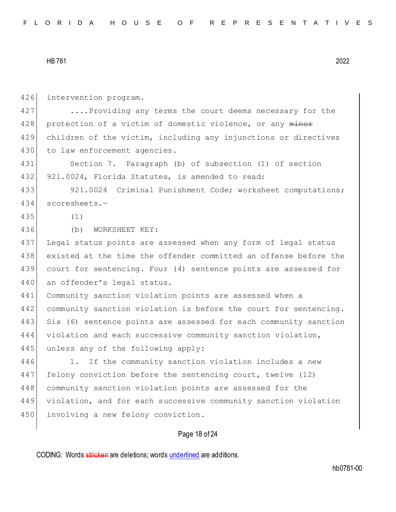426 intervention program. 427 ....Providing any terms the court deems necessary for the 428 protection of a victim of domestic violence, or any minor 429 children of the victim, including any injunctions or directives 430 to law enforcement agencies. 431 Section 7. Paragraph (b) of subsection (1) of section 432 921.0024, Florida Statutes, is amended to read: 433 921.0024 Criminal Punishment Code; worksheet computations; 434 scoresheets.— 435 (1) 436 (b) WORKSHEET KEY: 437 Legal status points are assessed when any form of legal status 438 existed at the time the offender committed an offense before the 439 court for sentencing. Four (4) sentence points are assessed for 440 an offender's legal status. 441 Community sanction violation points are assessed when a 442 community sanction violation is before the court for sentencing. 443 Six (6) sentence points are assessed for each community sanction 444 violation and each successive community sanction violation, 445 unless any of the following apply: 446 1. If the community sanction violation includes a new 447 felony conviction before the sentencing court, twelve (12) 448 community sanction violation points are assessed for the 449 violation, and for each successive community sanction violation 450 involving a new felony conviction.

## Page 18 of 24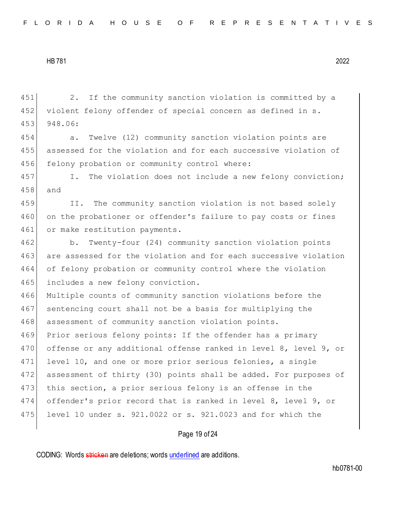451 2. If the community sanction violation is committed by a 452 violent felony offender of special concern as defined in s. 453 948.06: 454 a. Twelve (12) community sanction violation points are 455 assessed for the violation and for each successive violation of 456 felony probation or community control where: 457 I. The violation does not include a new felony conviction; 458 and 459 II. The community sanction violation is not based solely 460 on the probationer or offender's failure to pay costs or fines 461 or make restitution payments. 462 b. Twenty-four (24) community sanction violation points 463 are assessed for the violation and for each successive violation 464 of felony probation or community control where the violation 465 includes a new felony conviction. 466 Multiple counts of community sanction violations before the 467 sentencing court shall not be a basis for multiplying the 468 assessment of community sanction violation points. 469 Prior serious felony points: If the offender has a primary 470 offense or any additional offense ranked in level 8, level 9, or 471 level 10, and one or more prior serious felonies, a single 472 assessment of thirty (30) points shall be added. For purposes of 473 this section, a prior serious felony is an offense in the 474 offender's prior record that is ranked in level 8, level 9, or 475 level 10 under s. 921.0022 or s. 921.0023 and for which the

## Page 19 of 24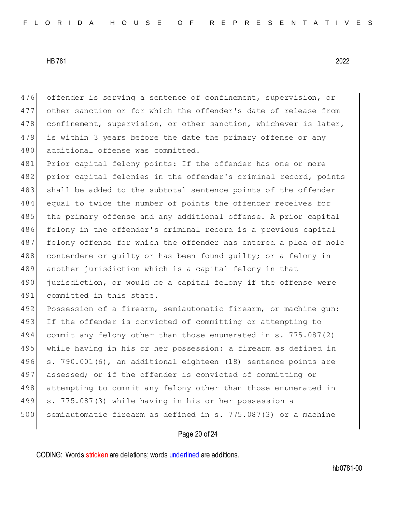476 offender is serving a sentence of confinement, supervision, or 477 other sanction or for which the offender's date of release from 478 confinement, supervision, or other sanction, whichever is later, 479 is within 3 years before the date the primary offense or any 480 additional offense was committed.

481 Prior capital felony points: If the offender has one or more 482 prior capital felonies in the offender's criminal record, points 483 shall be added to the subtotal sentence points of the offender 484 equal to twice the number of points the offender receives for 485 the primary offense and any additional offense. A prior capital 486 felony in the offender's criminal record is a previous capital 487 felony offense for which the offender has entered a plea of nolo 488 contendere or quilty or has been found quilty; or a felony in 489 another jurisdiction which is a capital felony in that 490 jurisdiction, or would be a capital felony if the offense were 491 committed in this state.

492 Possession of a firearm, semiautomatic firearm, or machine gun: 493 If the offender is convicted of committing or attempting to 494 commit any felony other than those enumerated in s. 775.087(2) 495 while having in his or her possession: a firearm as defined in 496 s. 790.001(6), an additional eighteen (18) sentence points are 497 assessed; or if the offender is convicted of committing or 498 attempting to commit any felony other than those enumerated in 499 s. 775.087(3) while having in his or her possession a 500 semiautomatic firearm as defined in s. 775.087(3) or a machine

## Page 20 of 24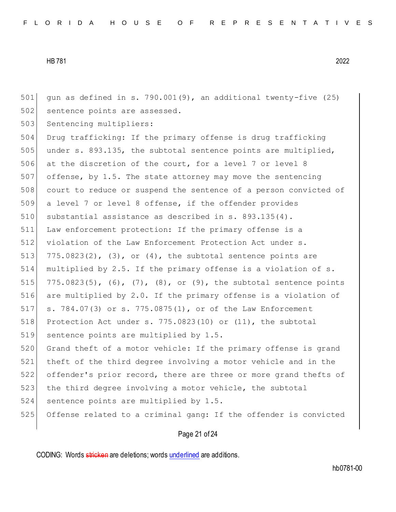501 gun as defined in s. 790.001(9), an additional twenty-five (25) 502 sentence points are assessed.

503 Sentencing multipliers:

 Drug trafficking: If the primary offense is drug trafficking under s. 893.135, the subtotal sentence points are multiplied, 506 at the discretion of the court, for a level 7 or level 8 offense, by 1.5. The state attorney may move the sentencing court to reduce or suspend the sentence of a person convicted of a level 7 or level 8 offense, if the offender provides 510 substantial assistance as described in s. 893.135(4). Law enforcement protection: If the primary offense is a 512 violation of the Law Enforcement Protection Act under s.  $775.0823(2)$ , (3), or (4), the subtotal sentence points are multiplied by 2.5. If the primary offense is a violation of s.  $775.0823(5)$ ,  $(6)$ ,  $(7)$ ,  $(8)$ , or  $(9)$ , the subtotal sentence points are multiplied by 2.0. If the primary offense is a violation of s. 784.07(3) or s. 775.0875(1), or of the Law Enforcement 518 Protection Act under s. 775.0823(10) or (11), the subtotal sentence points are multiplied by 1.5. 520 Grand theft of a motor vehicle: If the primary offense is grand

521 theft of the third degree involving a motor vehicle and in the 522 offender's prior record, there are three or more grand thefts of 523 the third degree involving a motor vehicle, the subtotal

524 sentence points are multiplied by 1.5.

525 Offense related to a criminal gang: If the offender is convicted

## Page 21 of 24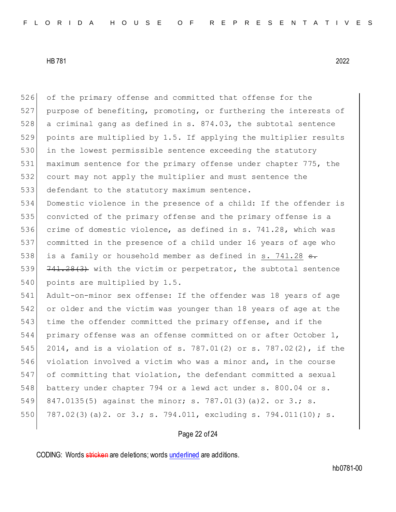of the primary offense and committed that offense for the purpose of benefiting, promoting, or furthering the interests of 528 a criminal gang as defined in s. 874.03, the subtotal sentence points are multiplied by 1.5. If applying the multiplier results in the lowest permissible sentence exceeding the statutory maximum sentence for the primary offense under chapter 775, the court may not apply the multiplier and must sentence the 533 defendant to the statutory maximum sentence. Domestic violence in the presence of a child: If the offender is convicted of the primary offense and the primary offense is a crime of domestic violence, as defined in s. 741.28, which was committed in the presence of a child under 16 years of age who 538 is a family or household member as defined in s. 741.28  $s$ . 539 741.28(3) with the victim or perpetrator, the subtotal sentence 540 points are multiplied by 1.5. Adult-on-minor sex offense: If the offender was 18 years of age or older and the victim was younger than 18 years of age at the 543 time the offender committed the primary offense, and if the primary offense was an offense committed on or after October 1, 2014, and is a violation of s. 787.01(2) or s. 787.02(2), if the violation involved a victim who was a minor and, in the course of committing that violation, the defendant committed a sexual 548 battery under chapter 794 or a lewd act under s. 800.04 or s. 549 847.0135(5) against the minor; s. 787.01(3)(a)2. or 3.; s. 787.02(3)(a)2. or 3.; s. 794.011, excluding s. 794.011(10); s.

## Page 22 of 24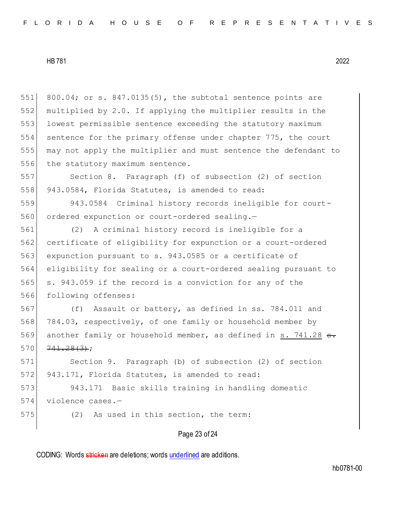800.04; or s. 847.0135(5), the subtotal sentence points are multiplied by 2.0. If applying the multiplier results in the 553 lowest permissible sentence exceeding the statutory maximum sentence for the primary offense under chapter 775, the court may not apply the multiplier and must sentence the defendant to 556 the statutory maximum sentence.

557 Section 8. Paragraph (f) of subsection (2) of section 558 943.0584, Florida Statutes, is amended to read:

559 943.0584 Criminal history records ineligible for court-560 ordered expunction or court-ordered sealing.-

 (2) A criminal history record is ineligible for a certificate of eligibility for expunction or a court-ordered expunction pursuant to s. 943.0585 or a certificate of eligibility for sealing or a court-ordered sealing pursuant to 565 s. 943.059 if the record is a conviction for any of the following offenses:

 (f) Assault or battery, as defined in ss. 784.011 and 784.03, respectively, of one family or household member by 569 another family or household member, as defined in s. 741.28  $\epsilon$ .  $741.28(3)$ ;

571 Section 9. Paragraph (b) of subsection (2) of section 572 943.171, Florida Statutes, is amended to read:

573 943.171 Basic skills training in handling domestic 574 violence cases.-

575 (2) As used in this section, the term:

## Page 23 of 24